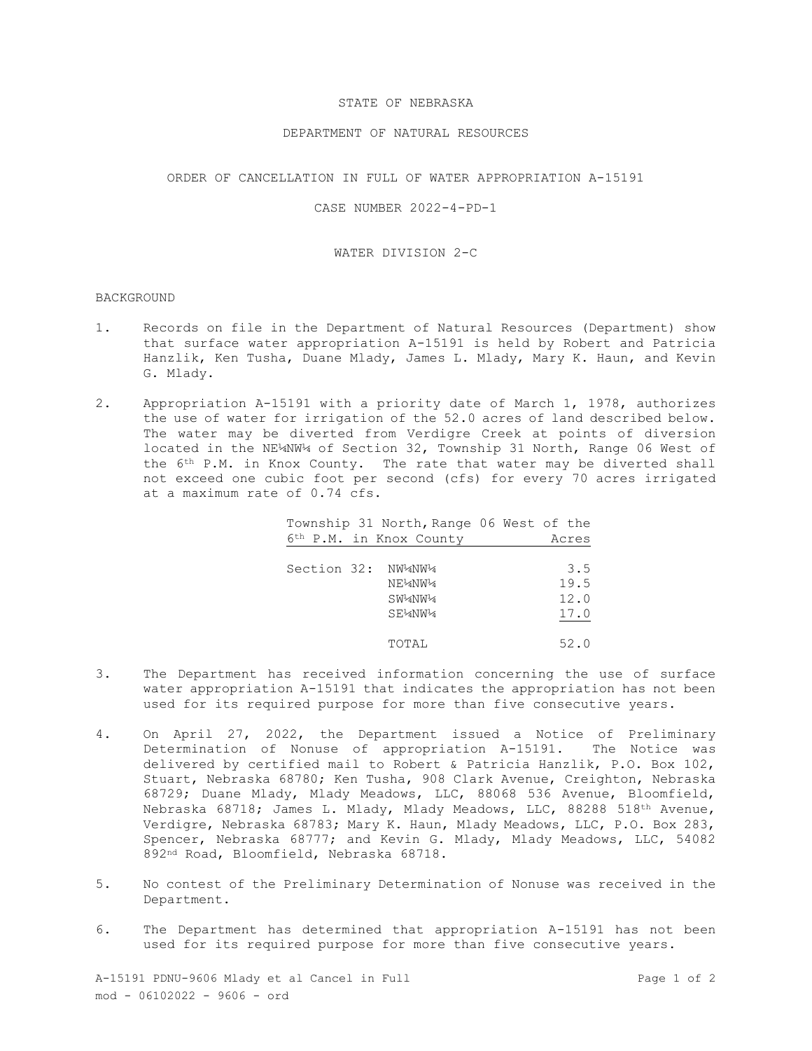# STATE OF NEBRASKA

## DEPARTMENT OF NATURAL RESOURCES

## ORDER OF CANCELLATION IN FULL OF WATER APPROPRIATION A-15191

# CASE NUMBER 2022-4-PD-1

#### WATER DIVISION 2-C

#### BACKGROUND

- 1. Records on file in the Department of Natural Resources (Department) show that surface water appropriation A-15191 is held by Robert and Patricia Hanzlik, Ken Tusha, Duane Mlady, James L. Mlady, Mary K. Haun, and Kevin G. Mlady.
- 2. Appropriation A-15191 with a priority date of March 1, 1978, authorizes the use of water for irrigation of the 52.0 acres of land described below. The water may be diverted from Verdigre Creek at points of diversion located in the NE¼NW¼ of Section 32, Township 31 North, Range 06 West of the 6th P.M. in Knox County. The rate that water may be diverted shall not exceed one cubic foot per second (cfs) for every 70 acres irrigated at a maximum rate of 0.74 cfs.

| Township 31 North, Range 06 West of the |       |
|-----------------------------------------|-------|
| 6th P.M. in Knox County                 | Acres |
|                                         |       |
| Section 32: NW¼NW¼                      | 3.5   |
| NE½NW¼                                  | 19.5  |
| SW2NW24                                 | 12.0  |
| SEMNW <sub>4</sub>                      | 17.0  |
|                                         |       |
| TOTAL                                   | 52.0  |

- 3. The Department has received information concerning the use of surface water appropriation A-15191 that indicates the appropriation has not been used for its required purpose for more than five consecutive years.
- 4. On April 27, 2022, the Department issued a Notice of Preliminary Determination of Nonuse of appropriation A-15191. The Notice was delivered by certified mail to Robert & Patricia Hanzlik, P.O. Box 102, Stuart, Nebraska 68780; Ken Tusha, 908 Clark Avenue, Creighton, Nebraska 68729; Duane Mlady, Mlady Meadows, LLC, 88068 536 Avenue, Bloomfield, Nebraska 68718; James L. Mlady, Mlady Meadows, LLC, 88288 518th Avenue, Verdigre, Nebraska 68783; Mary K. Haun, Mlady Meadows, LLC, P.O. Box 283, Spencer, Nebraska 68777; and Kevin G. Mlady, Mlady Meadows, LLC, 54082 892nd Road, Bloomfield, Nebraska 68718.
- 5. No contest of the Preliminary Determination of Nonuse was received in the Department.
- 6. The Department has determined that appropriation A-15191 has not been used for its required purpose for more than five consecutive years.